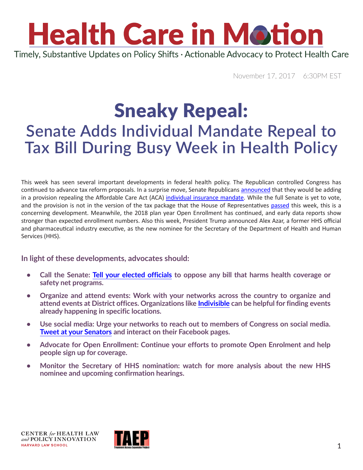## **Health Care in Motion** Timely, Substantive Updates on Policy Shifts · Actionable Advocacy to Protect Health Care

November 17, 2017 6:30PM EST

### Sneaky Repeal: **Senate Adds Individual Mandate Repeal to Tax Bill During Busy Week in Health Policy**

This week has seen several important developments in federal health policy. The Republican controlled Congress has continued to advance tax reform proposals. In a surprise move, Senate Republicans [announced](https://www.politico.com/story/2017/11/14/senate-gop-obamacare-mandate-repeal-to-tax-bill-244891) that they would be adding in a provision repealing the Affordable Care Act (ACA) [individual insurance mandate](https://www.healthcare.gov/glossary/affordable-care-act/). While the full Senate is yet to vote, and the provision is not in the version of the tax package that the House of Representatives [passed](https://www.nytimes.com/2017/11/16/us/politics/house-tax-overhaul-bill.html?_r=0) this week, this is a concerning development. Meanwhile, the 2018 plan year Open Enrollment has continued, and early data reports show stronger than expected enrollment numbers. Also this week, President Trump announced Alex Azar, a former HHS official and pharmaceutical industry executive, as the new nominee for the Secretary of the Department of Health and Human Services (HHS).

#### **In light of these developments, advocates should:**

- **• Call the Senate: [Tell your elected officials](https://www.usa.gov/elected-officials) to oppose any bill that harms health coverage or safety net programs.**
- **Organize and attend events: Work with your networks across the country to organize and attend events at District offices. Organizations like [Indivisible](http://act.indivisible.org/event/local-actions/search/) can be helpful for finding events already happening in specific locations.**
- **Use social media: Urge your networks to reach out to members of Congress on social media. [Tweet at your Senators](http://p2a.co/skSs2Ts) and interact on their Facebook pages.**
- **Advocate for Open Enrollment: Continue your efforts to promote Open Enrolment and help people sign up for coverage.**
- **Monitor the Secretary of HHS nomination: watch for more analysis about the new HHS nominee and upcoming confirmation hearings.**

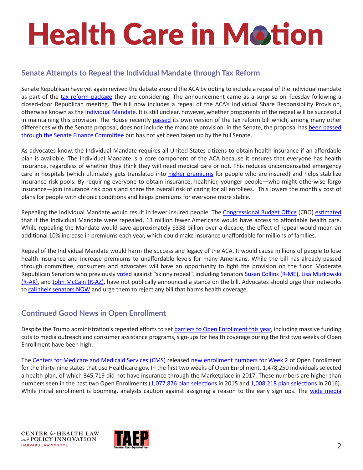# **Health Care in Motion**

#### **Senate Attempts to Repeal the Individual Mandate through Tax Reform**

Senate Republican have yet again revived the debate around the ACA by opting to include a repeal of the individual mandate as part of the [tax reform package](https://www.finance.senate.gov/imo/media/doc/11.14.17 Chairman) they are considering. The announcement came as a surprise on Tuesday following a closed-door Republican meeting. The bill now includes a repeal of the ACA's Individual Share Responsibility Provision, otherwise known as the [Individual Mandate](https://www.healthcare.gov/fees/fee-for-not-being-covered/). It is still unclear, however, whether proponents of the repeal will be successful in maintaining this provision. The House recently [passed](https://www.politico.com/story/2017/11/16/trump-rally-house-republicans-tax-vote-244965) its own version of the tax reform bill which, among many other differences with the Senate proposal, does not include the mandate provision. In the Senate, the proposal has been passed [through the Senate Finance Committee](https://www.finance.senate.gov/chairmans-news/finance-committee-passes-historic-tax-overhaul) but has not yet been taken up by the full Senate.

As advocates know, the Individual Mandate requires all United States citizens to obtain health insurance if an affordable plan is available. The Individual Mandate is a core component of the ACA because it ensures that everyone has health insurance, regardless of whether they think they will need medical care or not. This reduces uncompensated emergency care in hospitals (which ultimately gets translated into [higher premiums](http://familiesusa.org/sites/default/files/product_documents/hidden-health-tax.pdf) for people who are insured) and helps stabilize insurance risk pools. By requiring everyone to obtain insurance, healthier, younger people—who might otherwise forgo insurance—join insurance risk pools and share the overall risk of caring for all enrollees. This lowers the monthly cost of plans for people with chronic conditions and keeps premiums for everyone more stable.

Repealing the Individual Mandate would result in fewer insured people. The [Congressional Budget Office](http://www.cbo.gov) (CBO) [estimated](https://www.cbo.gov/system/files/115th-congress-2017-2018/reports/53300-individualmandate.pdf) that if the Individual Mandate were repealed, 13 million fewer Americans would have access to affordable health care. While repealing the Mandate would save approximately \$338 billion over a decade, the effect of repeal would mean an additional 10% increase in premiums each year, which could make insurance unaffordable for millions of families.

Repeal of the Individual Mandate would harm the success and legacy of the ACA. It would cause millions of people to lose health insurance and increase premiums to unaffordable levels for many Americans. While the bill has already passed through committee, consumers and advocates will have an opportunity to fight the provision on the floor. Moderate Republican Senators who previously [voted](https://www.politico.com/story/2017/07/27/obamacare-repeal-republicans-status-241025?lo=ap_e1) against "skinny repeal", including Senators [Susan Collins \(R-ME\)](https://www.collins.senate.gov/), Lisa Murkowski [\(R-AK\),](https://www.murkowski.senate.gov) and [John McCain \(R-AZ\)](https://www.mccain.senate.gov/public/), have not publically announced a stance on the bill. Advocates should urge their networks to [call their senators NOW](http://p2a.co/skSs2Ts) and urge them to reject any bill that harms health coverage.

#### **Continued Good News in Open Enrollment**

Despite the Trump administration's repeated efforts to set [barriers to Open Enrollment this year](https://www.chlpi.org/wp-content/uploads/2013/12/HCIM_10_27_2017.pdf), including massive funding cuts to media outreach and consumer assistance programs, sign-ups for health coverage during the first two weeks of Open Enrollment have been high.

The [Centers for Medicare and Medicaid Services \(CMS\)](https://www.cms.gov/About-CMS/Agency-Information/ContactCMS/index.html?redirect=/ContactCMS) released [new enrollment numbers for Week 2](https://www.cms.gov/Newsroom/MediaReleaseDatabase/Fact-sheets/2017-Fact-Sheet-items/2017-11-15.html?DLPage=1&DLEntries=10&DLSort=0&DLSortDir=descending) of Open Enrollment for the thirty-nine states that use Healthcare.gov. In the first two weeks of Open Enrollment, 1,478,250 individuals selected a health plan, of which 345,719 did not have insurance through the Marketplace in 2017. These numbers are higher than numbers seen in the past two Open Enrollments [\(1,077,876 plan selections](https://www.cms.gov/Newsroom/MediaReleaseDatabase/Fact-sheets/2015-Fact-sheets-items/2015-11-18.html?DLPage=2&DLEntries=10&DLSort=0&DLSortDir=descending) in 2015 and [1,008,218 plan selections](https://www.cms.gov/Newsroom/MediaReleaseDatabase/Fact-sheets/2016-Fact-sheets-items/2016-11-16.html?DLPage=2&DLEntries=10&DLSort=0&DLSortDir=descending) in 2016). While initial enrollment is booming, analysts caution against assigning a reason to the early sign ups. The wide media